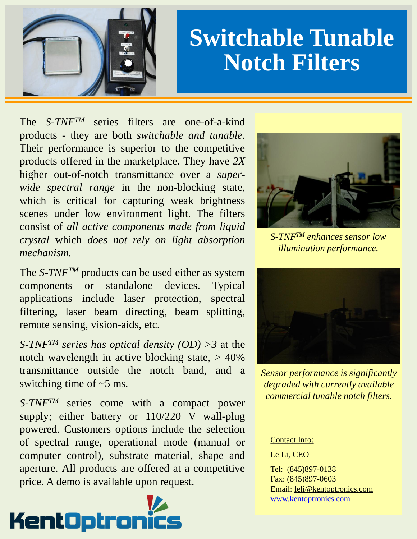

# **Switchable Tunable Notch Filters**

The *S-TNFTM* series filters are one-of-a-kind products - they are both *switchable and tunable.* Their performance is superior to the competitive products offered in the marketplace. They have *2X* higher out-of-notch transmittance over a *superwide spectral range* in the non-blocking state, which is critical for capturing weak brightness scenes under low environment light. The filters consist of *all active components made from liquid crystal* which *does not rely on light absorption mechanism.*

The *S-TNFTM* products can be used either as system components or standalone devices. Typical applications include laser protection, spectral filtering, laser beam directing, beam splitting, remote sensing, vision-aids, etc.

*S-TNFTM series has optical density (OD) >3* at the notch wavelength in active blocking state,  $> 40\%$ transmittance outside the notch band, and a switching time of  $\sim$ 5 ms.

*S-TNFTM* series come with a compact power supply; either battery or 110/220 V wall-plug powered. Customers options include the selection of spectral range, operational mode (manual or computer control), substrate material, shape and aperture. All products are offered at a competitive price. A demo is available upon request.





*S-TNFTM enhances sensor low illumination performance.*



*Sensor performance is significantly degraded with currently available commercial tunable notch filters.*

#### Contact Info:

Le Li, CEO

Tel: (845)897-0138 Fax: (845)897-0603 Email: leli@kentoptronics.com www.kentoptronics.com